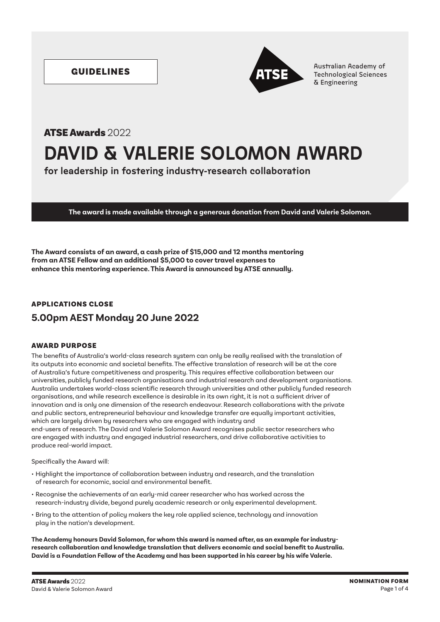

GUIDELINES **Australian Academy of Australian Academy of Australian Academy of Australian Academy of Australian Academy of Australian Academy of Australian Academy of Australian Academy of Australian Academy of Australian A** & Engineering

# **DAVID & VALERIE SOLOMON AWARD** ATSE Awards 2022

**for leadership in fostering industry-research collaboration**

**The award is made available through a generous donation from David and Valerie Solomon.**

**The Award consists of an award, a cash prize of \$15,000 and 12 months mentoring from an ATSE Fellow and an additional \$5,000 to cover travel expenses to enhance this mentoring experience. This Award is announced by ATSE annually.**

## APPLICATIONS CLOSE

# **5.00pm AEST Monday 20 June 2022**

## AWARD PURPOSE

The benefits of Australia's world-class research system can only be really realised with the translation of its outputs into economic and societal benefits. The effective translation of research will be at the core of Australia's future competitiveness and prosperity. This requires effective collaboration between our universities, publicly funded research organisations and industrial research and development organisations. Australia undertakes world-class scientific research through universities and other publicly funded research organisations, and while research excellence is desirable in its own right, it is not a sufficient driver of innovation and is only one dimension of the research endeavour. Research collaborations with the private and public sectors, entrepreneurial behaviour and knowledge transfer are equally important activities, which are largely driven by researchers who are engaged with industry and end-users of research. The David and Valerie Solomon Award recognises public sector researchers who are engaged with industry and engaged industrial researchers, and drive collaborative activities to produce real-world impact.

Specifically the Award will:

- Highlight the importance of collaboration between industry and research, and the translation of research for economic, social and environmental benefit.
- Recognise the achievements of an early-mid career researcher who has worked across the research-industry divide, beyond purely academic research or only experimental development.
- Bring to the attention of policy makers the key role applied science, technology and innovation play in the nation's development.

**The Academy honours David Solomon, for whom this award is named after, as an example for industryresearch collaboration and knowledge translation that delivers economic and social benefit to Australia. David is a Foundation Fellow of the Academy and has been supported in his career by his wife Valerie.**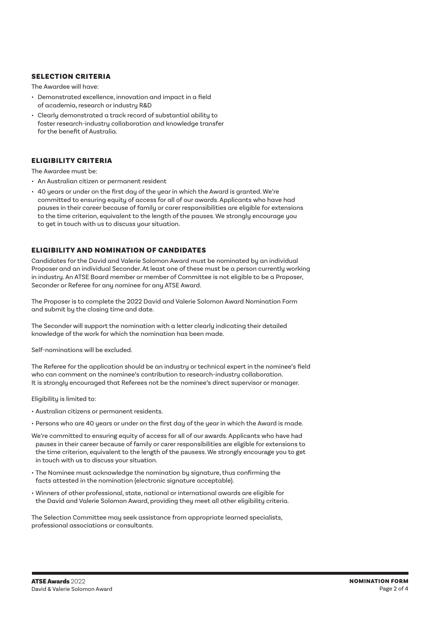## SELECTION CRITERIA

The Awardee will have:

- Demonstrated excellence, innovation and impact in a field of academia, research or industry R&D
- Clearly demonstrated a track record of substantial ability to foster research-industry collaboration and knowledge transfer for the benefit of Australia.

## ELIGIBILITY CRITERIA

The Awardee must be:

- An Australian citizen or permanent resident
- 40 years or under on the first day of the year in which the Award is granted. We're committed to ensuring equity of access for all of our awards. Applicants who have had pauses in their career because of family or carer responsibilities are eligible for extensions to the time criterion, equivalent to the length of the pauses. We strongly encourage you to get in touch with us to discuss your situation.

## ELIGIBILITY AND NOMINATION OF CANDIDATES

Candidates for the David and Valerie Solomon Award must be nominated by an individual Proposer and an individual Seconder. At least one of these must be a person currently working in industry. An ATSE Board member or member of Committee is not eligible to be a Proposer, Seconder or Referee for any nominee for any ATSE Award.

The Proposer is to complete the 2022 David and Valerie Solomon Award Nomination Form and submit by the closing time and date.

The Seconder will support the nomination with a letter clearly indicating their detailed knowledge of the work for which the nomination has been made.

Self-nominations will be excluded.

The Referee for the application should be an industry or technical expert in the nominee's field who can comment on the nominee's contribution to research-industry collaboration. It is strongly encouraged that Referees not be the nominee's direct supervisor or manager.

Eligibility is limited to:

- Australian citizens or permanent residents.
- Persons who are 40 years or under on the first day of the year in which the Award is made.
- We're committed to ensuring equity of access for all of our awards. Applicants who have had pauses in their career because of family or carer responsibilities are eligible for extensions to the time criterion, equivalent to the length of the pausess. We strongly encourage you to get in touch with us to discuss your situation.
- The Nominee must acknowledge the nomination by signature, thus confirming the facts attested in the nomination (electronic signature acceptable).
- Winners of other professional, state, national or international awards are eligible for the David and Valerie Solomon Award, providing they meet all other eligibility criteria.

The Selection Committee may seek assistance from appropriate learned specialists, professional associations or consultants.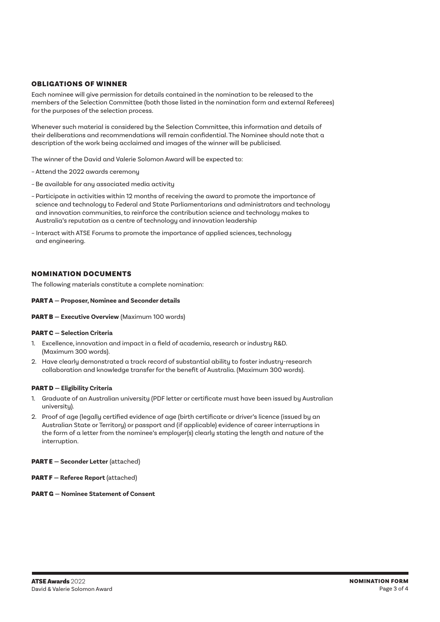## OBLIGATIONS OF WINNER

Each nominee will give permission for details contained in the nomination to be released to the members of the Selection Committee (both those listed in the nomination form and external Referees) for the purposes of the selection process.

Whenever such material is considered by the Selection Committee, this information and details of their deliberations and recommendations will remain confidential. The Nominee should note that a description of the work being acclaimed and images of the winner will be publicised.

The winner of the David and Valerie Solomon Award will be expected to:

- Attend the 2022 awards ceremony
- Be available for any associated media activity
- Participate in activities within 12 months of receiving the award to promote the importance of science and technology to Federal and State Parliamentarians and administrators and technology and innovation communities, to reinforce the contribution science and technology makes to Australia's reputation as a centre of technology and innovation leadership
- Interact with ATSE Forums to promote the importance of applied sciences, technology and engineering.

#### NOMINATION DOCUMENTS

The following materials constitute a complete nomination:

#### PART A **— Proposer, Nominee and Seconder details**

#### PART B **— Executive Overview** (Maximum 100 words)

#### PART C **— Selection Criteria**

- 1. Excellence, innovation and impact in a field of academia, research or industry R&D. (Maximum 300 words).
- 2. Have clearly demonstrated a track record of substantial ability to foster industry-research collaboration and knowledge transfer for the benefit of Australia. (Maximum 300 words).

#### PART D **— Eligibility Criteria**

- 1. Graduate of an Australian university (PDF letter or certificate must have been issued by Australian university).
- 2. Proof of age (legally certified evidence of age (birth certificate or driver's licence (issued by an Australian State or Territory) or passport and (if applicable) evidence of career interruptions in the form of a letter from the nominee's employer(s) clearly stating the length and nature of the interruption.

#### PART E **— Seconder Letter** (attached)

PART F **— Referee Report** (attached)

#### PART G **— Nominee Statement of Consent**